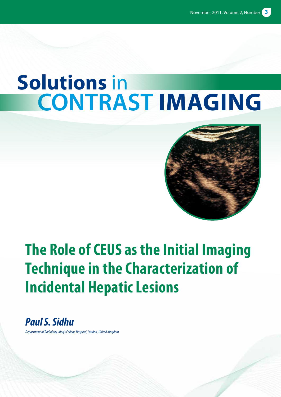# **Solutions** in **contrast imaging**



# **The Role of CEUS as the Initial Imaging Technique in the Characterization of Incidental Hepatic Lesions**

*Paul S. Sidhu*

*Department of Radiology, King's College Hospital, London, United Kingdom*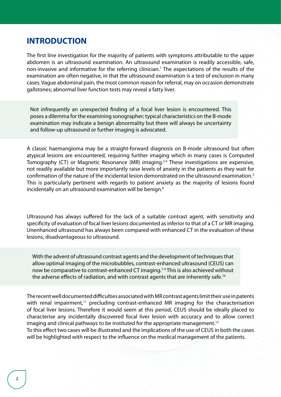### **INTRODUCTION**

The first line investigation for the majority of patients with symptoms attributable to the upper abdomen is an ultrasound examination. An ultrasound examination is readily accessible, safe, non-invasive and informative for the referring clinician.<sup>1</sup> The expectations of the results of the examination are often negative, in that the ultrasound examination is a test of exclusion in many cases. Vague abdominal pain, the most common reason for referral, may on occasion demonstrate gallstones; abnormal liver function tests may reveal a fatty liver.

Not infrequently an unexpected finding of a focal liver lesion is encountered. This poses a dilemma for the examining sonographer; typical characteristics on the B-mode examination may indicate a benign abnormality but there will always be uncertainty and follow-up ultrasound or further imaging is advocated.

A classic haemangioma may be a straight-forward diagnosis on B-mode ultrasound but often atypical lesions are encountered, requiring further imaging which in many cases is Computed Tomography (CT) or Magnetic Resonance (MR) imaging.<sup>2-4</sup> These investigations are expensive, not readily available but more importantly raise levels of anxiety in the patients as they wait for confirmation of the nature of the incidental lesion demonstrated on the ultrasound examination.<sup>5</sup> This is particularly pertinent with regards to patient anxiety as the majority of lesions found incidentally on an ultrasound examination will be benign.<sup>6</sup>

Ultrasound has always suffered for the lack of a suitable contrast agent, with sensitivity and specificity of evaluation of focal liver lesions documented as inferior to that of a CT or MR imaging. Unenhanced ultrasound has always been compared with enhanced CT in the evaluation of these lesions, disadvantageous to ultrasound.

With the advent of ultrasound contrast agents and the development of techniques that allow optimal imaging of the microbubbles, contrast-enhanced ultrasound (CEUS) can now be comparative to contrast-enhanced CT imaging.<sup>7-9</sup> This is also achieved without the adverse effects of radiation, and with contrast agents that are inherently safe.<sup>10</sup>

The recent well documented difficulties associated with MR contrast agents limit their use in patents with renal impairment, $11$  precluding contrast-enhanced MR imaging for the characterisation of focal liver lesions. Therefore it would seem at this period, CEUS should be ideally placed to characterise any incidentally discovered focal liver lesion with accuracy and to allow correct imaging and clinical pathways to be instituted for the appropriate management.<sup>12</sup> To this effect two cases will be illustrated and the implications of the use of CEUS in both the cases will be highlighted with respect to the influence on the medical management of the patients.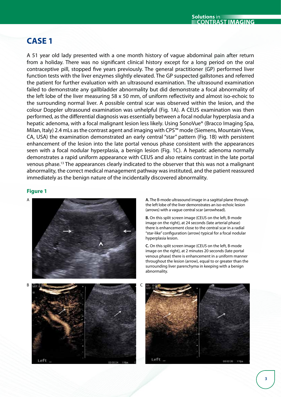# **CASE 1**

A 51 year old lady presented with a one month history of vague abdominal pain after return from a holiday. There was no significant clinical history except for a long period on the oral contraceptive pill, stopped five years previously. The general practitioner (GP) performed liver function tests with the liver enzymes slightly elevated. The GP suspected gallstones and referred the patient for further evaluation with an ultrasound examination. The ultrasound examination failed to demonstrate any gallbladder abnormality but did demonstrate a focal abnormality of the left lobe of the liver measuring 58 x 50 mm, of uniform reflectivity and almost iso-echoic to the surrounding normal liver. A possible central scar was observed within the lesion, and the colour Doppler ultrasound examination was unhelpful (Fig. 1A). A CEUS examination was then performed, as the differential diagnosis was essentially between a focal nodular hyperplasia and a hepatic adenoma, with a focal malignant lesion less likely. Using SonoVue® (Bracco Imaging Spa, Milan, Italy) 2.4 mLs as the contrast agent and imaging with CPS™ mode (Siemens, Mountain View, CA, USA) the examination demonstrated an early central "star" pattern (Fig. 1B) with persistent enhancement of the lesion into the late portal venous phase consistent with the appearances seen with a focal nodular hyperplasia, a benign lesion (Fig. 1C). A hepatic adenoma normally demonstrates a rapid uniform appearance with CEUS and also retains contrast in the late portal venous phase.13 The appearances clearly indicated to the observer that this was not a malignant abnormality, the correct medical management pathway was instituted, and the patient reassured immediately as the benign nature of the incidentally discovered abnormality.

#### **Figure 1**



the left lobe of the liver demonstrates an iso-echoic lesion (arrows) with a vague central scar (arrowhead).

**B.** On this split screen image (CEUS on the left, B-mode image on the right), at 24 seconds (late arterial phase) there is enhancement close to the central scar in a radial "star-like" configuration (arrow) typical for a focal nodular hyperplasia lesion.

**C.** On this split screen image (CEUS on the left, B-mode image on the right), at 2 minutes 20 seconds (late portal venous phase) there is enhancement in a uniform manner throughout the lesion (arrow), equal to or greater than the surrounding liver parenchyma in keeping with a benign abnormality.



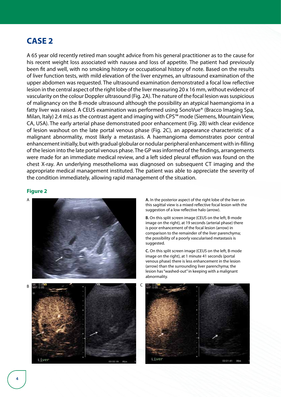# **CASE 2**

A 65 year old recently retired man sought advice from his general practitioner as to the cause for his recent weight loss associated with nausea and loss of appetite. The patient had previously been fit and well, with no smoking history or occupational history of note. Based on the results of liver function tests, with mild elevation of the liver enzymes, an ultrasound examination of the upper abdomen was requested. The ultrasound examination demonstrated a focal low reflective lesion in the central aspect of the right lobe of the liver measuring 20 x 16 mm, without evidence of vascularity on the colour Doppler ultrasound (Fig. 2A). The nature of the focal lesion was suspicious of malignancy on the B-mode ultrasound although the possibility an atypical haemangioma in a fatty liver was raised. A CEUS examination was performed using SonoVue® (Bracco Imaging Spa, Milan, Italy) 2.4 mLs as the contrast agent and imaging with CPS™ mode (Siemens, Mountain View, CA, USA). The early arterial phase demonstrated poor enhancement (Fig. 2B) with clear evidence of lesion washout on the late portal venous phase (Fig. 2C), an appearance characteristic of a malignant abnormality, most likely a metastasis. A haemangioma demonstrates poor central enhancement initially, but with gradual globular or nodular peripheral enhancement with in-filling of the lesion into the late portal venous phase. The GP was informed of the findings, arrangements were made for an immediate medical review, and a left sided pleural effusion was found on the chest X-ray. An underlying mesothelioma was diagnosed on subsequent CT imaging and the appropriate medical management instituted. The patient was able to appreciate the severity of the condition immediately, allowing rapid management of the situation.

#### **Figure 2**



this sagittal view is a mixed reflective focal lesion with the suggestion of a low reflective halo (arrow).

**B.** On this split screen image (CEUS on the left, B-mode image on the right), at 19 seconds (arterial phase) there is poor enhancement of the focal lesion (arrow) in comparison to the remainder of the liver parenchyma; the possibility of a poorly vascularised metastasis is suggested.

**C.** On this split screen image (CEUS on the left, B-mode image on the right), at 1 minute 41 seconds (portal venous phase) there is less enhancement in the lesion (arrow) than the surrounding liver parenchyma; the lesion has "washed-out" in keeping with a malignant abnormality.

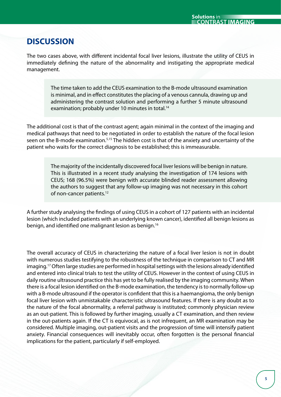# **DISCUSSION**

The two cases above, with different incidental focal liver lesions, illustrate the utility of CEUS in immediately defining the nature of the abnormality and instigating the appropriate medical management.

> The time taken to add the CEUS examination to the B-mode ultrasound examination is minimal, and in effect constitutes the placing of a venous cannula, drawing up and administering the contrast solution and performing a further 5 minute ultrasound examination; probably under 10 minutes in total.<sup>14</sup>

The additional cost is that of the contrast agent; again minimal in the context of the imaging and medical pathways that need to be negotiated in order to establish the nature of the focal lesion seen on the B-mode examination.5,15 The hidden cost is that of the anxiety and uncertainty of the patient who waits for the correct diagnosis to be established; this is immeasurable.

> The majority of the incidentally discovered focal liver lesions will be benign in nature. This is illustrated in a recent study analysing the investigation of 174 lesions with CEUS; 168 (96.5%) were benign with accurate blinded reader assessment allowing the authors to suggest that any follow-up imaging was not necessary in this cohort of non-cancer patients.<sup>12</sup>

A further study analysing the findings of using CEUS in a cohort of 127 patients with an incidental lesion (which included patients with an underlying known cancer), identified all benign lesions as benign, and identified one malignant lesion as benign.16

The overall accuracy of CEUS in characterizing the nature of a focal liver lesion is not in doubt with numerous studies testifying to the robustness of the technique in comparison to CT and MR imaging.17 Often large studies are performed in hospital settings with the lesions already identified and entered into clinical trials to test the utility of CEUS. However in the context of using CEUS in daily routine ultrasound practice this has yet to be fully realised by the imaging community. When there is a focal lesion identified on the B-mode examination, the tendency is to normally follow-up with a B-mode ultrasound if the operator is confident that this is a haemangioma, the only benign focal liver lesion with unmistakable characteristic ultrasound features. If there is any doubt as to the nature of the focal abnormality, a referral pathway is instituted; commonly physician review as an out-patient. This is followed by further imaging, usually a CT examination, and then review in the out-patients again. If the CT is equivocal, as is not infrequent, an MR examination may be considered. Multiple imaging, out-patient visits and the progression of time will intensify patient anxiety. Financial consequences will inevitably occur, often forgotten is the personal financial implications for the patient, particularly if self-employed.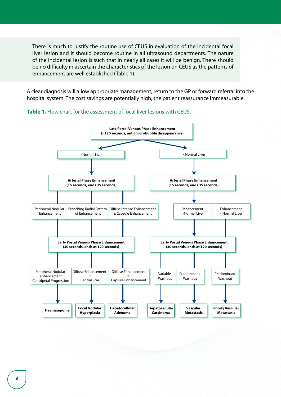There is much to justify the routine use of CEUS in evaluation of the incidental focal liver lesion and it should become routine in all ultrasound departments. The nature of the incidental lesion is such that in nearly all cases it will be benign. There should be no difficulty in ascertain the characteristics of the lesion on CEUS as the patterns of enhancement are well established (Table 1).

A clear diagnosis will allow appropriate management, return to the GP or forward referral into the hospital system. The cost savings are potentially high, the patient reassurance immeasurable.



![](_page_5_Figure_3.jpeg)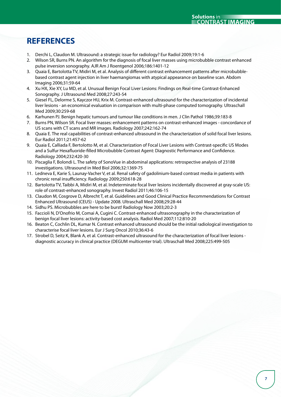# **REFERENCES**

- 1. Derchi L, Claudon M. Ultrasound: a strategic issue for radiology? Eur Radiol 2009;19:1-6
- 2. Wilson SR, Burns PN. An algorithm for the diagnosis of focal liver masses using microbubble contrast enhanced pulse inversion sonography. AJR Am J Roentgenol 2006;186:1401-12
- 3. Quaia E, Bartolotta TV, Midiri M, et al. Analysis of different contrast enhancement patterns after microbubblebased contrast agent injection in liver haemangiomas with atypical appearance on baseline scan. Abdom Imaging 2006;31:59-64
- 4. Xu HX, Xie XY, Lu MD, et al. Unusual Benign Focal Liver Lesions: Findings on Real-time Contrast-Enhanced Sonography. J Ultrasound Med 2008;27:243-54
- 5. Giesel FL, Delorme S, Kayczor HU, Krix M. Contrast-enhanced ultrasound for the characterization of incidental liver lesions - an economical evaluation in comparison with multi-phase computed tomography. Ultraschall Med 2009;30:259-68
- 6. Karhunen PJ. Benign hepatic tumours and tumour like conditions in men. J Clin Pathol 1986;39:183-8
- 7. Burns PN, Wilson SR. Focal liver masses: enhancement patterns on contrast-enhanced images concordance of US scans with CT scans and MR images. Radiology 2007;242:162-74
- 8. Quaia E. The real capabilities of contrast-enhanced ultrasound in the characterization of solid focal liver lesions. Eur Radiol 2011;21:457-62
- 9. Quaia E, Calliada F, Bertolotto M, et al. Characterization of Focal Liver Lesions with Contrast-specific US Modes and a Sulfur Hexafluoride-filled Microbubble Contrast Agent: Diagnostic Performance and Confidence. Radiology 2004;232:420-30
- 10. Piscaglia F, Bolondi L. The safety of SonoVue in abdominal applications: retrospective analysis of 23188 investigations. Ultrasound in Med Biol 2006;32:1369-75
- 11. Ledneva E, Karie S, Launay-Vacher V, et al. Renal safety of gadolinium-based contrast media in patients with chronic renal insufficiency. Radiology 2009;250:618-28
- 12. Bartolotta TV, Taibbi A, Midiri M, et al. Indeterminate focal liver lesions incidentally discovered at gray-scale US: role of contrast-enhanced sonography. Invest Radiol 2011;46:106-15
- 13. Claudon M, Cosgrove D, Albrecht T, et al. Guidelines and Good Clinical Practice Recommendations for Contrast Enhanced Ultrasound (CEUS) - Update 2008. Ultraschall Med 2008;29:28-44
- 14. Sidhu PS. Microbubbles are here to be burst! Radiology Now 2003;20:2-3
- 15. Faccioli N, D'Onofrio M, Comai A, Cugini C. Contrast-enhanced ultrasonography in the characterization of benign focal liver lesions: activity-based cost analysis. Radiol Med 2007;112:810-20
- 16. Beaton C, Cochlin DL, Kumar N. Contrast enhanced ultrasound should be the initial radiological investigation to characterise focal liver lesions. Eur J Surg Oncol 2010;36:43-6
- 17. Strobel D, Seitz K, Blank A, et al. Contrast-enhanced ultrasound for the characterization of focal liver lesions diagnostic accuracy in clinical practice (DEGUM multicenter trial). Ultraschall Med 2008;225:499-505